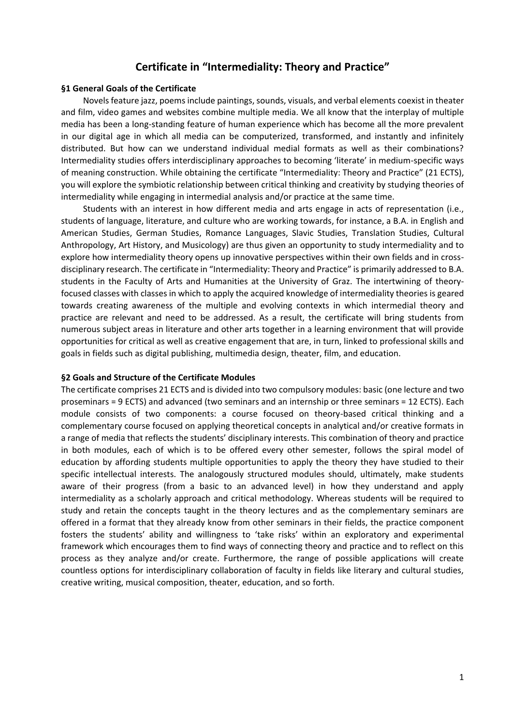# **Certificate in "Intermediality: Theory and Practice"**

### **§1 General Goals of the Certificate**

Novels feature jazz, poems include paintings, sounds, visuals, and verbal elements coexist in theater and film, video games and websites combine multiple media. We all know that the interplay of multiple media has been a long-standing feature of human experience which has become all the more prevalent in our digital age in which all media can be computerized, transformed, and instantly and infinitely distributed. But how can we understand individual medial formats as well as their combinations? Intermediality studies offers interdisciplinary approaches to becoming 'literate' in medium-specific ways of meaning construction. While obtaining the certificate "Intermediality: Theory and Practice" (21 ECTS), you will explore the symbiotic relationship between critical thinking and creativity by studying theories of intermediality while engaging in intermedial analysis and/or practice at the same time.

Students with an interest in how different media and arts engage in acts of representation (i.e., students of language, literature, and culture who are working towards, for instance, a B.A. in English and American Studies, German Studies, Romance Languages, Slavic Studies, Translation Studies, Cultural Anthropology, Art History, and Musicology) are thus given an opportunity to study intermediality and to explore how intermediality theory opens up innovative perspectives within their own fields and in crossdisciplinary research. The certificate in "Intermediality: Theory and Practice" is primarily addressed to B.A. students in the Faculty of Arts and Humanities at the University of Graz. The intertwining of theoryfocused classes with classes in which to apply the acquired knowledge of intermediality theories is geared towards creating awareness of the multiple and evolving contexts in which intermedial theory and practice are relevant and need to be addressed. As a result, the certificate will bring students from numerous subject areas in literature and other arts together in a learning environment that will provide opportunities for critical as well as creative engagement that are, in turn, linked to professional skills and goals in fields such as digital publishing, multimedia design, theater, film, and education.

#### **§2 Goals and Structure of the Certificate Modules**

The certificate comprises 21 ECTS and is divided into two compulsory modules: basic (one lecture and two proseminars = 9 ECTS) and advanced (two seminars and an internship or three seminars = 12 ECTS). Each module consists of two components: a course focused on theory-based critical thinking and a complementary course focused on applying theoretical concepts in analytical and/or creative formats in a range of media that reflects the students' disciplinary interests. This combination of theory and practice in both modules, each of which is to be offered every other semester, follows the spiral model of education by affording students multiple opportunities to apply the theory they have studied to their specific intellectual interests. The analogously structured modules should, ultimately, make students aware of their progress (from a basic to an advanced level) in how they understand and apply intermediality as a scholarly approach and critical methodology. Whereas students will be required to study and retain the concepts taught in the theory lectures and as the complementary seminars are offered in a format that they already know from other seminars in their fields, the practice component fosters the students' ability and willingness to 'take risks' within an exploratory and experimental framework which encourages them to find ways of connecting theory and practice and to reflect on this process as they analyze and/or create. Furthermore, the range of possible applications will create countless options for interdisciplinary collaboration of faculty in fields like literary and cultural studies, creative writing, musical composition, theater, education, and so forth.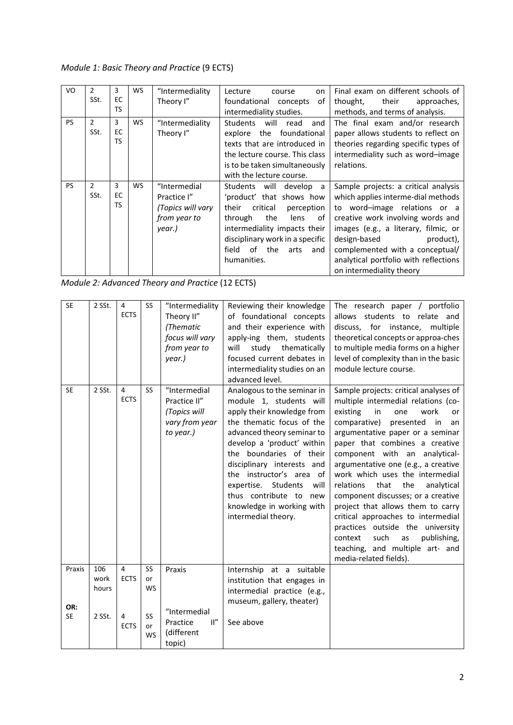*Module 1: Basic Theory and Practice* (9 ECTS)

| VO        | 2<br>SSt.             | 3<br>EC.<br><b>TS</b> | WS        | "Intermediality<br>Theory I"                                               | Lecture<br>on<br>course<br>foundational concepts<br>οf<br>intermediality studies.                                                                                                                                                                     | Final exam on different schools of<br>their<br>thought,<br>approaches,<br>methods, and terms of analysis.                                                                                                                                                                                                                    |
|-----------|-----------------------|-----------------------|-----------|----------------------------------------------------------------------------|-------------------------------------------------------------------------------------------------------------------------------------------------------------------------------------------------------------------------------------------------------|------------------------------------------------------------------------------------------------------------------------------------------------------------------------------------------------------------------------------------------------------------------------------------------------------------------------------|
| <b>PS</b> | $\mathcal{P}$<br>SSt. | 3<br>EC<br><b>TS</b>  | <b>WS</b> | "Intermediality<br>Theory I"                                               | <b>Students</b><br>will<br>read<br>and<br>the foundational<br>explore<br>texts that are introduced in<br>the lecture course. This class<br>is to be taken simultaneously<br>with the lecture course.                                                  | The final exam and/or research<br>paper allows students to reflect on<br>theories regarding specific types of<br>intermediality such as word-image<br>relations.                                                                                                                                                             |
| <b>PS</b> | 2<br>SSt.             | 3<br>EC<br><b>TS</b>  | WS        | "Intermedial<br>Practice I"<br>(Topics will vary<br>from year to<br>year.) | Students will<br>develop<br>a -<br>'product' that shows how<br>their<br>critical<br>perception<br>through<br>the<br>0f<br>lens<br>intermediality impacts their<br>disciplinary work in a specific<br>of<br>the<br>field<br>arts<br>and<br>humanities. | Sample projects: a critical analysis<br>which applies interme-dial methods<br>to word-image relations or a<br>creative work involving words and<br>images (e.g., a literary, filmic, or<br>design-based<br>product),<br>complemented with a conceptual/<br>analytical portfolio with reflections<br>on intermediality theory |

*Module 2: Advanced Theory and Practice* (12 ECTS)

|  | <b>SE</b>        | 2 SSt.               | $\overline{4}$<br><b>ECTS</b> | <b>SS</b>             | "Intermediality<br>Theory II"<br>(Thematic<br>focus will vary<br>from year to<br>year.) | Reviewing their knowledge<br>of foundational concepts<br>and their experience with<br>apply-ing them, students<br>will<br>study thematically<br>focused current debates in<br>intermediality studies on an<br>advanced level.                                                                                                                                                      | The research paper / portfolio<br>allows students to relate and<br>discuss, for instance,<br>multiple<br>theoretical concepts or approa-ches<br>to multiple media forms on a higher<br>level of complexity than in the basic<br>module lecture course.                                                                                                                                                                                                                                                                                                                                                                                         |
|--|------------------|----------------------|-------------------------------|-----------------------|-----------------------------------------------------------------------------------------|------------------------------------------------------------------------------------------------------------------------------------------------------------------------------------------------------------------------------------------------------------------------------------------------------------------------------------------------------------------------------------|------------------------------------------------------------------------------------------------------------------------------------------------------------------------------------------------------------------------------------------------------------------------------------------------------------------------------------------------------------------------------------------------------------------------------------------------------------------------------------------------------------------------------------------------------------------------------------------------------------------------------------------------|
|  | <b>SE</b>        | 2 SSt.               | $\overline{4}$<br><b>ECTS</b> | <b>SS</b>             | "Intermedial<br>Practice II"<br>(Topics will<br>vary from year<br>to year.)             | Analogous to the seminar in<br>module 1, students will<br>apply their knowledge from<br>the thematic focus of the<br>advanced theory seminar to<br>develop a 'product' within<br>the boundaries of their<br>disciplinary interests and<br>the instructor's area of<br>expertise.<br>Students<br>will<br>thus contribute to new<br>knowledge in working with<br>intermedial theory. | Sample projects: critical analyses of<br>multiple intermedial relations (co-<br>existing<br>in<br>work<br>one<br>or<br>comparative)<br>presented in<br>an<br>argumentative paper or a seminar<br>paper that combines a creative<br>component with an analytical-<br>argumentative one (e.g., a creative<br>work which uses the intermedial<br>that<br>the<br>relations<br>analytical<br>component discusses; or a creative<br>project that allows them to carry<br>critical approaches to intermedial<br>practices outside the university<br>publishing,<br>such<br>context<br>as<br>teaching, and multiple art- and<br>media-related fields). |
|  | Praxis           | 106<br>work<br>hours | $\overline{4}$<br><b>ECTS</b> | SS<br>or<br><b>WS</b> | Praxis                                                                                  | Internship at a suitable<br>institution that engages in<br>intermedial practice (e.g.,<br>museum, gallery, theater)                                                                                                                                                                                                                                                                |                                                                                                                                                                                                                                                                                                                                                                                                                                                                                                                                                                                                                                                |
|  | OR:<br><b>SE</b> | 2 SSt.               | 4<br><b>ECTS</b>              | SS<br>or<br><b>WS</b> | "Intermedial<br>II''<br>Practice<br>(different<br>topic)                                | See above                                                                                                                                                                                                                                                                                                                                                                          |                                                                                                                                                                                                                                                                                                                                                                                                                                                                                                                                                                                                                                                |